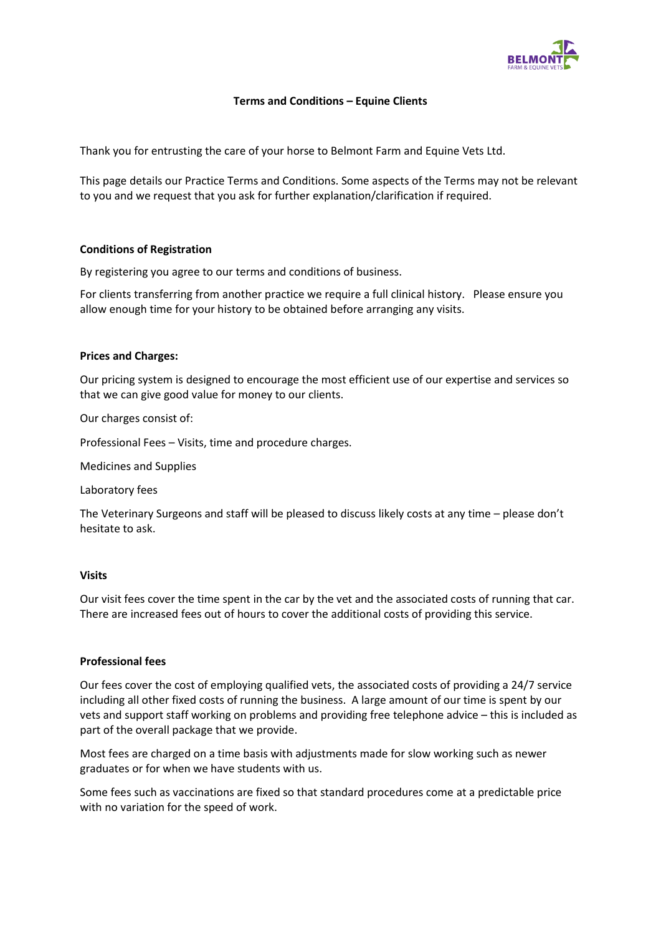

# **Terms and Conditions – Equine Clients**

Thank you for entrusting the care of your horse to Belmont Farm and Equine Vets Ltd.

This page details our Practice Terms and Conditions. Some aspects of the Terms may not be relevant to you and we request that you ask for further explanation/clarification if required.

### **Conditions of Registration**

By registering you agree to our terms and conditions of business.

For clients transferring from another practice we require a full clinical history. Please ensure you allow enough time for your history to be obtained before arranging any visits.

### **Prices and Charges:**

Our pricing system is designed to encourage the most efficient use of our expertise and services so that we can give good value for money to our clients.

Our charges consist of:

Professional Fees – Visits, time and procedure charges.

Medicines and Supplies

Laboratory fees

The Veterinary Surgeons and staff will be pleased to discuss likely costs at any time – please don't hesitate to ask.

#### **Visits**

Our visit fees cover the time spent in the car by the vet and the associated costs of running that car. There are increased fees out of hours to cover the additional costs of providing this service.

# **Professional fees**

Our fees cover the cost of employing qualified vets, the associated costs of providing a 24/7 service including all other fixed costs of running the business. A large amount of our time is spent by our vets and support staff working on problems and providing free telephone advice – this is included as part of the overall package that we provide.

Most fees are charged on a time basis with adjustments made for slow working such as newer graduates or for when we have students with us.

Some fees such as vaccinations are fixed so that standard procedures come at a predictable price with no variation for the speed of work.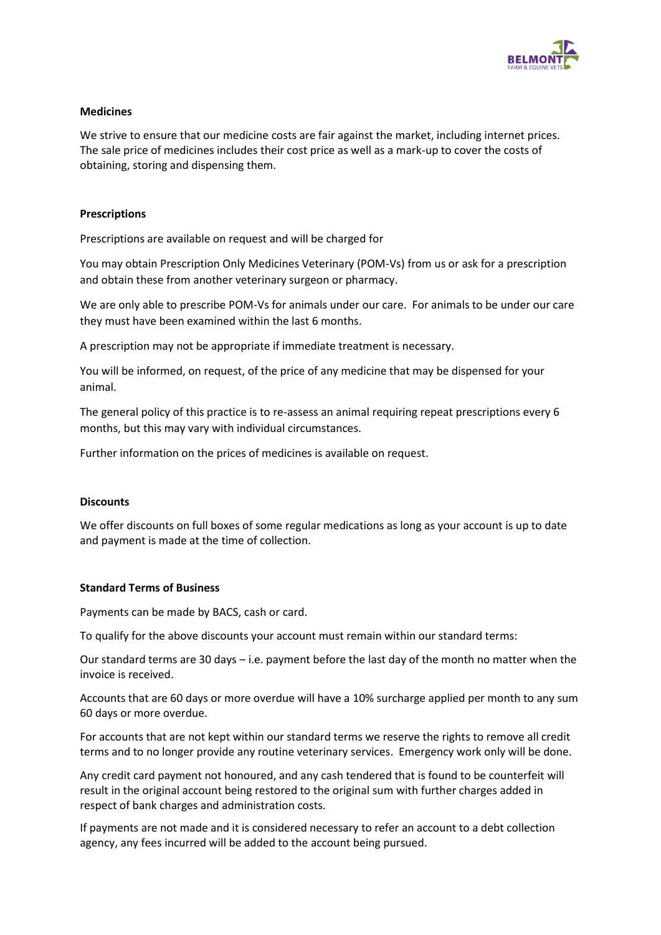

# **Medicines**

We strive to ensure that our medicine costs are fair against the market, including internet prices. The sale price of medicines includes their cost price as well as a mark-up to cover the costs of obtaining, storing and dispensing them.

### **Prescriptions**

Prescriptions are available on request and will be charged for

You may obtain Prescription Only Medicines Veterinary (POM-Vs) from us or ask for a prescription and obtain these from another veterinary surgeon or pharmacy.

We are only able to prescribe POM-Vs for animals under our care. For animals to be under our care they must have been examined within the last 6 months.

A prescription may not be appropriate if immediate treatment is necessary.

You will be informed, on request, of the price of any medicine that may be dispensed for your animal.

The general policy of this practice is to re-assess an animal requiring repeat prescriptions every 6 months, but this may vary with individual circumstances.

Further information on the prices of medicines is available on request.

#### **Discounts**

We offer discounts on full boxes of some regular medications as long as your account is up to date and payment is made at the time of collection.

#### **Standard Terms of Business**

Payments can be made by BACS, cash or card.

To qualify for the above discounts your account must remain within our standard terms:

Our standard terms are 30 days – i.e. payment before the last day of the month no matter when the invoice is received.

Accounts that are 60 days or more overdue will have a 10% surcharge applied per month to any sum 60 days or more overdue.

For accounts that are not kept within our standard terms we reserve the rights to remove all credit terms and to no longer provide any routine veterinary services. Emergency work only will be done.

Any credit card payment not honoured, and any cash tendered that is found to be counterfeit will result in the original account being restored to the original sum with further charges added in respect of bank charges and administration costs.

If payments are not made and it is considered necessary to refer an account to a debt collection agency, any fees incurred will be added to the account being pursued.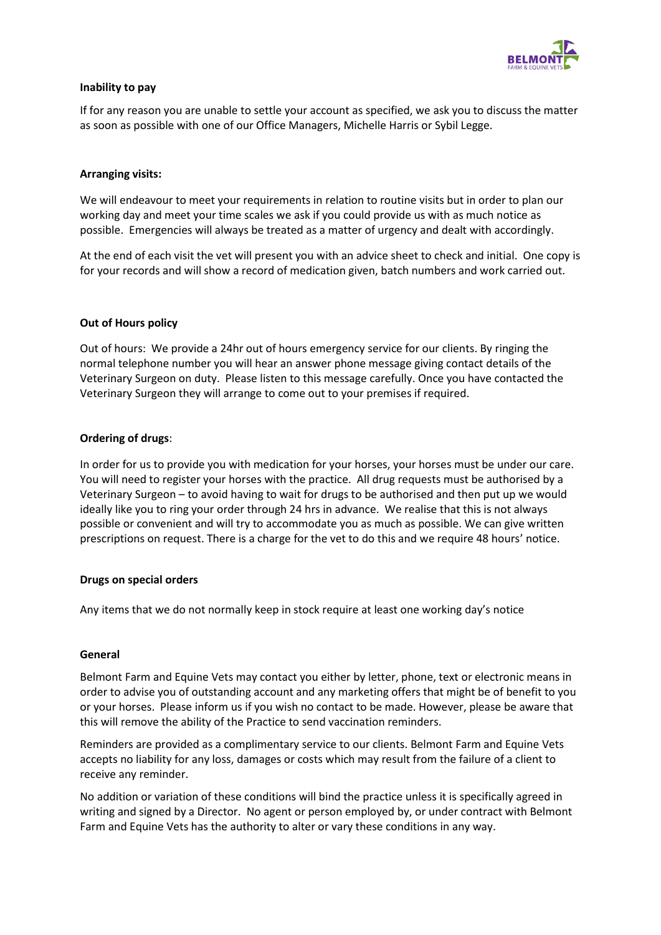

# **Inability to pay**

If for any reason you are unable to settle your account as specified, we ask you to discuss the matter as soon as possible with one of our Office Managers, Michelle Harris or Sybil Legge.

# **Arranging visits:**

We will endeavour to meet your requirements in relation to routine visits but in order to plan our working day and meet your time scales we ask if you could provide us with as much notice as possible. Emergencies will always be treated as a matter of urgency and dealt with accordingly.

At the end of each visit the vet will present you with an advice sheet to check and initial. One copy is for your records and will show a record of medication given, batch numbers and work carried out.

### **Out of Hours policy**

Out of hours: We provide a 24hr out of hours emergency service for our clients. By ringing the normal telephone number you will hear an answer phone message giving contact details of the Veterinary Surgeon on duty. Please listen to this message carefully. Once you have contacted the Veterinary Surgeon they will arrange to come out to your premises if required.

### **Ordering of drugs**:

In order for us to provide you with medication for your horses, your horses must be under our care. You will need to register your horses with the practice. All drug requests must be authorised by a Veterinary Surgeon – to avoid having to wait for drugs to be authorised and then put up we would ideally like you to ring your order through 24 hrs in advance. We realise that this is not always possible or convenient and will try to accommodate you as much as possible. We can give written prescriptions on request. There is a charge for the vet to do this and we require 48 hours' notice.

#### **Drugs on special orders**

Any items that we do not normally keep in stock require at least one working day's notice

#### **General**

Belmont Farm and Equine Vets may contact you either by letter, phone, text or electronic means in order to advise you of outstanding account and any marketing offers that might be of benefit to you or your horses. Please inform us if you wish no contact to be made. However, please be aware that this will remove the ability of the Practice to send vaccination reminders.

Reminders are provided as a complimentary service to our clients. Belmont Farm and Equine Vets accepts no liability for any loss, damages or costs which may result from the failure of a client to receive any reminder.

No addition or variation of these conditions will bind the practice unless it is specifically agreed in writing and signed by a Director. No agent or person employed by, or under contract with Belmont Farm and Equine Vets has the authority to alter or vary these conditions in any way.